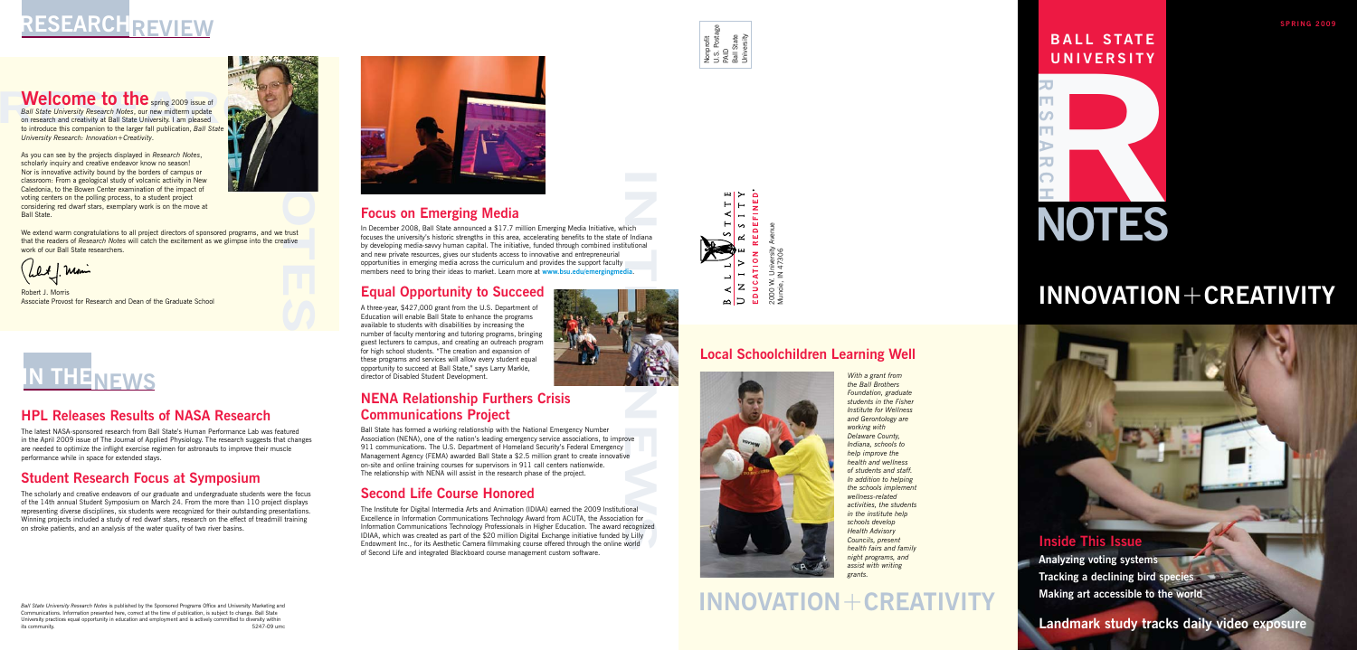



**BALL S TAT E UNIVERSITY**

**SPRING 2009**





Muncie, IN 47306

## **INNOVATION**+**CREATIVITY**

### **INNOVATION**+**CREATIVITY**

#### **Inside This Issue**

**Analyzing voting systems Tracking a declining bird species Making art accessible to the world**

#### **Landmark study tracks daily video exposure**

### **Focus on Emerging Media**

ich<br>f Indiana<br>tutional<br>**Iia** In December 2008, Ball State announced a \$17.7 million Emerging Media Initiative, which focuses the university's historic strengths in this area, accelerating benefits to the state of Indiana by developing media-savvy human capital. The initiative, funded through combined institutional and new private resources, gives our students access to innovative and entrepreneurial opportunities in emerging media across the curriculum and provides the support faculty members need to bring their ideas to market. Learn more at **www.bsu.edu/emergingmedia**.

### **Equal Opportunity to Succeed**

A three-year, \$427,000 grant from the U.S. Department of Education will enable Ball State to enhance the programs available to students with disabilities by increasing the number of faculty mentoring and tutoring programs, bringing guest lecturers to campus, and creating an outreach program for high school students. "The creation and expansion of these programs and services will allow every student equal opportunity to succeed at Ball State," says Larry Markle, director of Disabled Student Development.

**Welcome to the spring 2009 issue of<br>Ball State University Research Notes, our new midterm update<br>on research and creativity at Ball State University. I am pleased<br>to introduce this companion to the larger fall publication** *Ball State University Research Notes*, our new midterm update on research and creativity at Ball State University. I am pleased to introduce this companion to the larger fall publication, *Ball State University Research: Innovation+Creativity*.

### **NENA Relationship Furthers Crisis Communications Project**

**NOTES**<br>Notes<br>( We extend warm congratulations to all project directors of sponsored programs, and we trust that the readers of *Research Notes* will catch the excitement as we glimpse into the creative work of our Ball State researchers.

Let Mon

Ball State has formed a working relationship with the National Emergency Number Association (NENA), one of the nation's leading emergency service associations, to improve 911 communications. The U.S. Department of Homeland Security's Federal Emergency Management Agency (FEMA) awarded Ball State a \$2.5 million grant to create innovative on-site and online training courses for supervisors in 911 call centers nationwide. The relationship with NENA will assist in the research phase of the project.

### **Second Life Course Honored**

The Institute for Digital Intermedia Arts and Animation (IDIAA) earned the 2009 Institutional Excellence in Information Communications Technology Award from ACUTA, the Association for Information Communications Technology Professionals in Higher Education. The award recognized IDIAA, which was created as part of the \$20 million Digital Exchange initiative funded by Lilly Endowment Inc., for its Aesthetic Camera filmmaking course offered through the online world of Second Life and integrated Blackboard course management custom software.

## **RESEARCHREVIEW**

### Welcome to the spring 2009 issue of



As you can see by the projects displayed in *Research Notes*, scholarly inquiry and creative endeavor know no season! Nor is innovative activity bound by the borders of campus or classroom: From a geological study of volcanic activity in New Caledonia, to the Bowen Center examination of the impact of voting centers on the polling process, to a student project considering red dwarf stars, exemplary work is on the move at Ball State.

Robert J. Morris Associate Provost for Research and Dean of the Graduate School

### **HPL Releases Results of NASA Research**

The latest NASA-sponsored research from Ball State's Human Performance Lab was featured in the April 2009 issue of The Journal of Applied Physiology. The research suggests that changes are needed to optimize the inflight exercise regimen for astronauts to improve their muscle performance while in space for extended stays.

### **Student Research Focus at Symposium**

The scholarly and creative endeavors of our graduate and undergraduate students were the focus of the 14th annual Student Symposium on March 24. From the more than 110 project displays representing diverse disciplines, six students were recognized for their outstanding presentations. Winning projects included a study of red dwarf stars, research on the effect of treadmill training on stroke patients, and an analysis of the water quality of two river basins.



*With a grant from the Ball Brothers Foundation, graduate students in the Fisher Institute for Wellness and Gerontology are working with Delaware County, Indiana, schools to help improve the health and wellness of students and staff. In addition to helping the schools implement wellness-related activities, the students in the institute help schools develop Health Advisory Councils, present health fairs and family night programs, and assist with writing grants.*

### **Local Schoolchildren Learning Well**